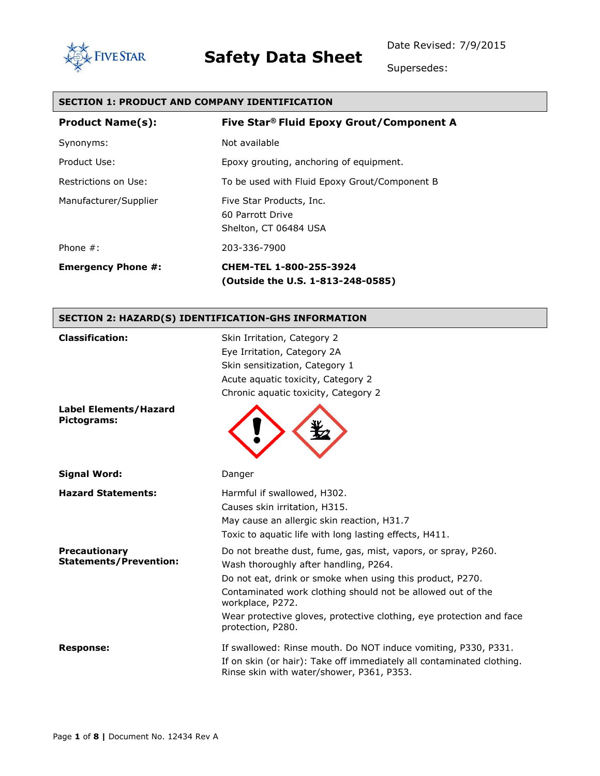Date Revised: 7/9/2015



# **Safety Data Sheet**

Supersedes:

#### **SECTION 1: PRODUCT AND COMPANY IDENTIFICATION**

| <b>Product Name(s):</b>   | Five Star® Fluid Epoxy Grout/Component A                              |
|---------------------------|-----------------------------------------------------------------------|
| Synonyms:                 | Not available                                                         |
| Product Use:              | Epoxy grouting, anchoring of equipment.                               |
| Restrictions on Use:      | To be used with Fluid Epoxy Grout/Component B                         |
| Manufacturer/Supplier     | Five Star Products, Inc.<br>60 Parrott Drive<br>Shelton, CT 06484 USA |
| Phone $#$ :               | 203-336-7900                                                          |
| <b>Emergency Phone #:</b> | CHEM-TEL 1-800-255-3924<br>(Outside the U.S. 1-813-248-0585)          |

#### **SECTION 2: HAZARD(S) IDENTIFICATION-GHS INFORMATION**

| <b>Classification:</b>                                | Skin Irritation, Category 2<br>Eye Irritation, Category 2A<br>Skin sensitization, Category 1<br>Acute aquatic toxicity, Category 2<br>Chronic aquatic toxicity, Category 2                                                                                                                                                                          |
|-------------------------------------------------------|-----------------------------------------------------------------------------------------------------------------------------------------------------------------------------------------------------------------------------------------------------------------------------------------------------------------------------------------------------|
| <b>Label Elements/Hazard</b><br>Pictograms:           |                                                                                                                                                                                                                                                                                                                                                     |
| <b>Signal Word:</b>                                   | Danger                                                                                                                                                                                                                                                                                                                                              |
| <b>Hazard Statements:</b>                             | Harmful if swallowed, H302.<br>Causes skin irritation, H315.<br>May cause an allergic skin reaction, H31.7<br>Toxic to aquatic life with long lasting effects, H411.                                                                                                                                                                                |
| <b>Precautionary</b><br><b>Statements/Prevention:</b> | Do not breathe dust, fume, gas, mist, vapors, or spray, P260.<br>Wash thoroughly after handling, P264.<br>Do not eat, drink or smoke when using this product, P270.<br>Contaminated work clothing should not be allowed out of the<br>workplace, P272.<br>Wear protective gloves, protective clothing, eye protection and face<br>protection, P280. |
| <b>Response:</b>                                      | If swallowed: Rinse mouth. Do NOT induce vomiting, P330, P331.<br>If on skin (or hair): Take off immediately all contaminated clothing.<br>Rinse skin with water/shower, P361, P353.                                                                                                                                                                |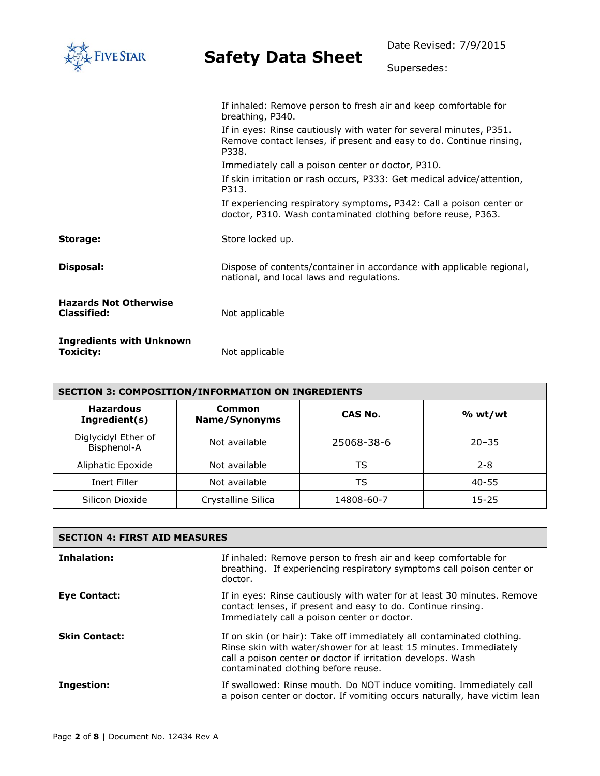| <b>IVE STAR</b>                                    |                                                                                                                                                    | Date Revised: 7/9/2015 |  |
|----------------------------------------------------|----------------------------------------------------------------------------------------------------------------------------------------------------|------------------------|--|
|                                                    | <b>Safety Data Sheet</b>                                                                                                                           | Supersedes:            |  |
|                                                    | If inhaled: Remove person to fresh air and keep comfortable for<br>breathing, P340.                                                                |                        |  |
|                                                    | If in eyes: Rinse cautiously with water for several minutes, P351.<br>Remove contact lenses, if present and easy to do. Continue rinsing,<br>P338. |                        |  |
|                                                    | Immediately call a poison center or doctor, P310.                                                                                                  |                        |  |
|                                                    | If skin irritation or rash occurs, P333: Get medical advice/attention,<br>P313.                                                                    |                        |  |
|                                                    | If experiencing respiratory symptoms, P342: Call a poison center or<br>doctor, P310. Wash contaminated clothing before reuse, P363.                |                        |  |
| Storage:                                           | Store locked up.                                                                                                                                   |                        |  |
| Disposal:                                          | Dispose of contents/container in accordance with applicable regional,<br>national, and local laws and regulations.                                 |                        |  |
| <b>Hazards Not Otherwise</b><br><b>Classified:</b> | Not applicable                                                                                                                                     |                        |  |
| <b>Ingredients with Unknown</b><br>Toxicity:       | Not applicable                                                                                                                                     |                        |  |

| <b>SECTION 3: COMPOSITION/INFORMATION ON INGREDIENTS</b> |                                |            |           |
|----------------------------------------------------------|--------------------------------|------------|-----------|
| <b>Hazardous</b><br>Ingredient(s)                        | Common<br><b>Name/Synonyms</b> | CAS No.    | % wt/wt   |
| Diglycidyl Ether of<br>Bisphenol-A                       | Not available                  | 25068-38-6 | $20 - 35$ |
| Aliphatic Epoxide                                        | Not available                  | TS         | $2 - 8$   |
| Inert Filler                                             | Not available                  | TS         | 40-55     |
| Silicon Dioxide                                          | Crystalline Silica             | 14808-60-7 | $15 - 25$ |

| <b>SECTION 4: FIRST AID MEASURES</b> |                                                                                                                                                                                                                                                  |  |
|--------------------------------------|--------------------------------------------------------------------------------------------------------------------------------------------------------------------------------------------------------------------------------------------------|--|
| Inhalation:                          | If inhaled: Remove person to fresh air and keep comfortable for<br>breathing. If experiencing respiratory symptoms call poison center or<br>doctor.                                                                                              |  |
| Eye Contact:                         | If in eyes: Rinse cautiously with water for at least 30 minutes. Remove<br>contact lenses, if present and easy to do. Continue rinsing.<br>Immediately call a poison center or doctor.                                                           |  |
| <b>Skin Contact:</b>                 | If on skin (or hair): Take off immediately all contaminated clothing.<br>Rinse skin with water/shower for at least 15 minutes. Immediately<br>call a poison center or doctor if irritation develops. Wash<br>contaminated clothing before reuse. |  |
| Ingestion:                           | If swallowed: Rinse mouth. Do NOT induce vomiting. Immediately call<br>a poison center or doctor. If vomiting occurs naturally, have victim lean                                                                                                 |  |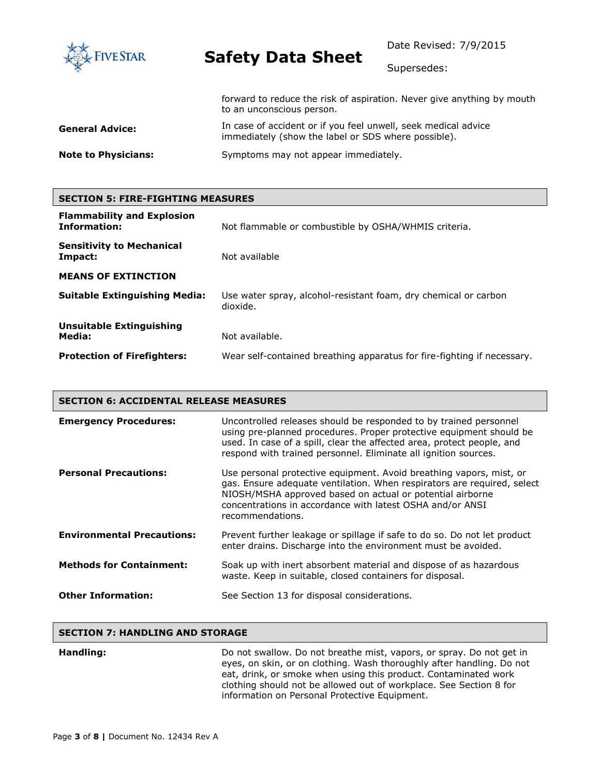

Date Revised: 7/9/2015

Supersedes:

|                            | forward to reduce the risk of aspiration. Never give anything by mouth<br>to an unconscious person.                   |
|----------------------------|-----------------------------------------------------------------------------------------------------------------------|
| General Advice:            | In case of accident or if you feel unwell, seek medical advice<br>immediately (show the label or SDS where possible). |
| <b>Note to Physicians:</b> | Symptoms may not appear immediately.                                                                                  |

### **SECTION 5: FIRE-FIGHTING MEASURES Flammability and Explosion**

| <b>Information:</b>                         | Not flammable or combustible by OSHA/WHMIS criteria.                        |  |
|---------------------------------------------|-----------------------------------------------------------------------------|--|
| <b>Sensitivity to Mechanical</b><br>Impact: | Not available                                                               |  |
| <b>MEANS OF EXTINCTION</b>                  |                                                                             |  |
| <b>Suitable Extinguishing Media:</b>        | Use water spray, alcohol-resistant foam, dry chemical or carbon<br>dioxide. |  |
| <b>Unsuitable Extinguishing</b>             |                                                                             |  |
| Media:                                      | Not available.                                                              |  |
| <b>Protection of Firefighters:</b>          | Wear self-contained breathing apparatus for fire-fighting if necessary.     |  |

#### **SECTION 6: ACCIDENTAL RELEASE MEASURES**

| <b>Emergency Procedures:</b>      | Uncontrolled releases should be responded to by trained personnel<br>using pre-planned procedures. Proper protective equipment should be<br>used. In case of a spill, clear the affected area, protect people, and<br>respond with trained personnel. Eliminate all ignition sources.        |
|-----------------------------------|----------------------------------------------------------------------------------------------------------------------------------------------------------------------------------------------------------------------------------------------------------------------------------------------|
| <b>Personal Precautions:</b>      | Use personal protective equipment. Avoid breathing vapors, mist, or<br>gas. Ensure adequate ventilation. When respirators are required, select<br>NIOSH/MSHA approved based on actual or potential airborne<br>concentrations in accordance with latest OSHA and/or ANSI<br>recommendations. |
| <b>Environmental Precautions:</b> | Prevent further leakage or spillage if safe to do so. Do not let product<br>enter drains. Discharge into the environment must be avoided.                                                                                                                                                    |
| <b>Methods for Containment:</b>   | Soak up with inert absorbent material and dispose of as hazardous<br>waste. Keep in suitable, closed containers for disposal.                                                                                                                                                                |
| <b>Other Information:</b>         | See Section 13 for disposal considerations.                                                                                                                                                                                                                                                  |

#### **SECTION 7: HANDLING AND STORAGE**

#### **Handling: Handling: Do not swallow. Do not breathe mist, vapors, or spray. Do not get in** eyes, on skin, or on clothing. Wash thoroughly after handling. Do not eat, drink, or smoke when using this product. Contaminated work clothing should not be allowed out of workplace. See Section 8 for information on Personal Protective Equipment.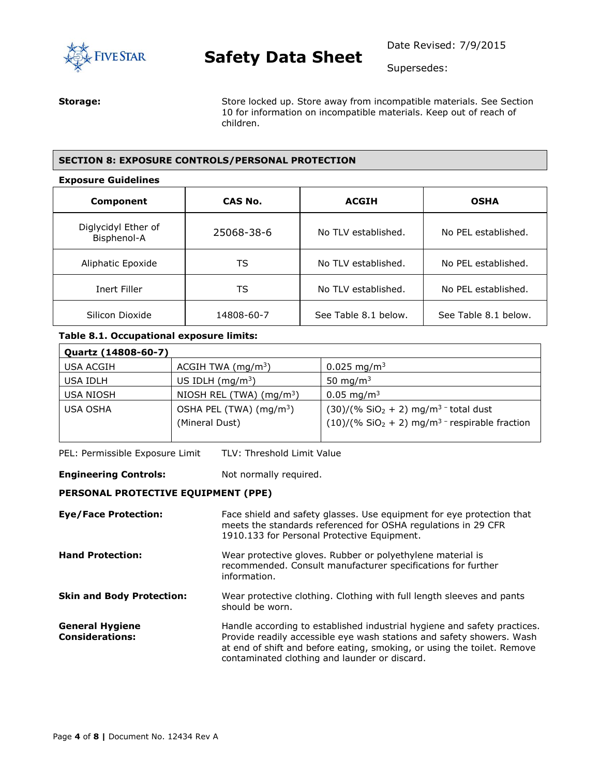

Supersedes:

**Storage:** Store locked up. Store away from incompatible materials. See Section 10 for information on incompatible materials. Keep out of reach of children.

#### **SECTION 8: EXPOSURE CONTROLS/PERSONAL PROTECTION**

#### **Exposure Guidelines**

| Component                          | CAS No.    | <b>ACGIH</b>         | <b>OSHA</b>          |
|------------------------------------|------------|----------------------|----------------------|
| Diglycidyl Ether of<br>Bisphenol-A | 25068-38-6 | No TLV established.  | No PEL established.  |
| Aliphatic Epoxide                  | TS         | No TLV established.  | No PEL established.  |
| Inert Filler                       | TS         | No TLV established.  | No PEL established.  |
| Silicon Dioxide                    | 14808-60-7 | See Table 8.1 below. | See Table 8.1 below. |

#### **Table 8.1. Occupational exposure limits:**

| Quartz (14808-60-7) |                                                       |                                                                                                                  |
|---------------------|-------------------------------------------------------|------------------------------------------------------------------------------------------------------------------|
| USA ACGIH           | ACGIH TWA $(mg/m3)$                                   | 0.025 mg/m <sup>3</sup>                                                                                          |
| USA IDLH            | US IDLH $(mq/m3)$                                     | 50 mg/m $3$                                                                                                      |
| <b>USA NIOSH</b>    | NIOSH REL (TWA) $(mq/m3)$                             | $0.05 \,\mathrm{mg/m^3}$                                                                                         |
| <b>USA OSHA</b>     | OSHA PEL (TWA) (mg/m <sup>3</sup> )<br>(Mineral Dust) | $(30)/(% SiO2 + 2) mg/m3$ total dust<br>$(10)/($ % SiO <sub>2</sub> + 2) mg/m <sup>3</sup> - respirable fraction |

PEL: Permissible Exposure Limit TLV: Threshold Limit Value

**Engineering Controls:** Not normally required.

#### **PERSONAL PROTECTIVE EQUIPMENT (PPE)**

| <b>Eye/Face Protection:</b>                      | Face shield and safety glasses. Use equipment for eye protection that<br>meets the standards referenced for OSHA regulations in 29 CFR<br>1910.133 for Personal Protective Equipment.                                                                                         |
|--------------------------------------------------|-------------------------------------------------------------------------------------------------------------------------------------------------------------------------------------------------------------------------------------------------------------------------------|
| <b>Hand Protection:</b>                          | Wear protective gloves. Rubber or polyethylene material is<br>recommended. Consult manufacturer specifications for further<br>information.                                                                                                                                    |
| <b>Skin and Body Protection:</b>                 | Wear protective clothing. Clothing with full length sleeves and pants<br>should be worn.                                                                                                                                                                                      |
| <b>General Hygiene</b><br><b>Considerations:</b> | Handle according to established industrial hygiene and safety practices.<br>Provide readily accessible eye wash stations and safety showers. Wash<br>at end of shift and before eating, smoking, or using the toilet. Remove<br>contaminated clothing and launder or discard. |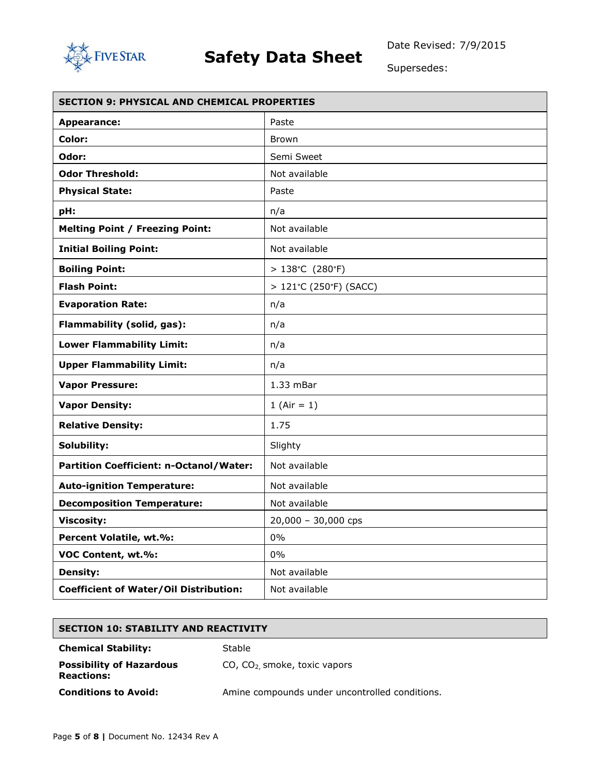

Supersedes:

| <b>SECTION 9: PHYSICAL AND CHEMICAL PROPERTIES</b> |                          |  |
|----------------------------------------------------|--------------------------|--|
| <b>Appearance:</b>                                 | Paste                    |  |
| Color:                                             | <b>Brown</b>             |  |
| Odor:                                              | Semi Sweet               |  |
| <b>Odor Threshold:</b>                             | Not available            |  |
| <b>Physical State:</b>                             | Paste                    |  |
| pH:                                                | n/a                      |  |
| <b>Melting Point / Freezing Point:</b>             | Not available            |  |
| <b>Initial Boiling Point:</b>                      | Not available            |  |
| <b>Boiling Point:</b>                              | $>138^{\circ}$ C (280°F) |  |
| <b>Flash Point:</b>                                | > 121°C (250°F) (SACC)   |  |
| <b>Evaporation Rate:</b>                           | n/a                      |  |
| Flammability (solid, gas):                         | n/a                      |  |
| <b>Lower Flammability Limit:</b>                   | n/a                      |  |
| <b>Upper Flammability Limit:</b>                   | n/a                      |  |
| <b>Vapor Pressure:</b>                             | $1.33$ mBar              |  |
| <b>Vapor Density:</b>                              | 1 (Air = $1$ )           |  |
| <b>Relative Density:</b>                           | 1.75                     |  |
| Solubility:                                        | Slighty                  |  |
| Partition Coefficient: n-Octanol/Water:            | Not available            |  |
| <b>Auto-ignition Temperature:</b>                  | Not available            |  |
| <b>Decomposition Temperature:</b>                  | Not available            |  |
| <b>Viscosity:</b>                                  | 20,000 - 30,000 cps      |  |
| Percent Volatile, wt.%:                            | $0\%$                    |  |
| VOC Content, wt.%:                                 | 0%                       |  |
| <b>Density:</b>                                    | Not available            |  |
| <b>Coefficient of Water/Oil Distribution:</b>      | Not available            |  |

### **SECTION 10: STABILITY AND REACTIVITY**

**Chemical Stability:** Stable

CO, CO2, smoke, toxic vapors

**Possibility of Hazardous Reactions:**

**Conditions to Avoid:** Amine compounds under uncontrolled conditions.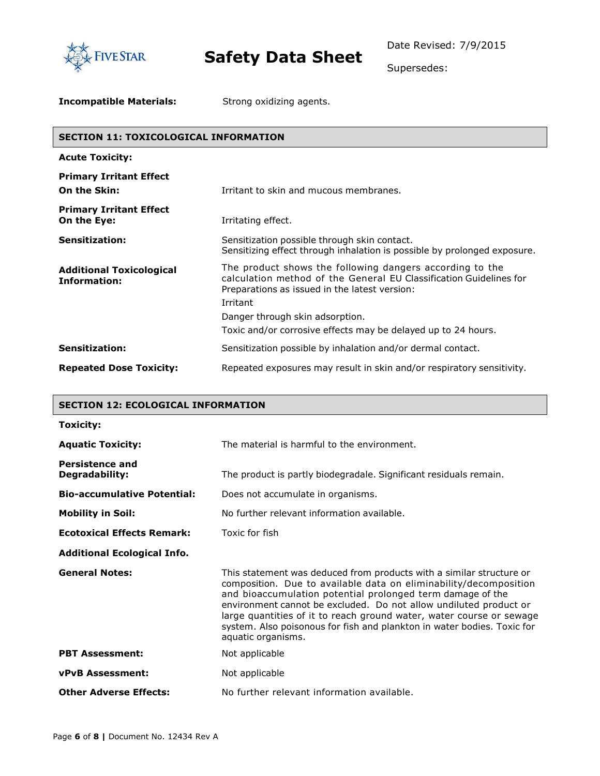

Supersedes:

**Incompatible Materials:** Strong oxidizing agents.

#### **SECTION 11: TOXICOLOGICAL INFORMATION**

| <b>Acute Toxicity:</b>                                 |                                                                                                                                                                                 |
|--------------------------------------------------------|---------------------------------------------------------------------------------------------------------------------------------------------------------------------------------|
| <b>Primary Irritant Effect</b><br>On the Skin:         | Irritant to skin and mucous membranes.                                                                                                                                          |
| <b>Primary Irritant Effect</b><br>On the Eye:          | Irritating effect.                                                                                                                                                              |
| <b>Sensitization:</b>                                  | Sensitization possible through skin contact.<br>Sensitizing effect through inhalation is possible by prolonged exposure.                                                        |
| <b>Additional Toxicological</b><br><b>Information:</b> | The product shows the following dangers according to the<br>calculation method of the General EU Classification Guidelines for<br>Preparations as issued in the latest version: |
|                                                        | Irritant                                                                                                                                                                        |
|                                                        | Danger through skin adsorption.                                                                                                                                                 |
|                                                        | Toxic and/or corrosive effects may be delayed up to 24 hours.                                                                                                                   |
| <b>Sensitization:</b>                                  | Sensitization possible by inhalation and/or dermal contact.                                                                                                                     |
| <b>Repeated Dose Toxicity:</b>                         | Repeated exposures may result in skin and/or respiratory sensitivity.                                                                                                           |

#### **SECTION 12: ECOLOGICAL INFORMATION**

| Toxicity:                                       |                                                                                                                                                                                                                                                                                                                                                                                                                                                       |
|-------------------------------------------------|-------------------------------------------------------------------------------------------------------------------------------------------------------------------------------------------------------------------------------------------------------------------------------------------------------------------------------------------------------------------------------------------------------------------------------------------------------|
| <b>Aquatic Toxicity:</b>                        | The material is harmful to the environment.                                                                                                                                                                                                                                                                                                                                                                                                           |
| <b>Persistence and</b><br><b>Degradability:</b> | The product is partly biodegradale. Significant residuals remain.                                                                                                                                                                                                                                                                                                                                                                                     |
| <b>Bio-accumulative Potential:</b>              | Does not accumulate in organisms.                                                                                                                                                                                                                                                                                                                                                                                                                     |
| <b>Mobility in Soil:</b>                        | No further relevant information available.                                                                                                                                                                                                                                                                                                                                                                                                            |
| <b>Ecotoxical Effects Remark:</b>               | Toxic for fish                                                                                                                                                                                                                                                                                                                                                                                                                                        |
| <b>Additional Ecological Info.</b>              |                                                                                                                                                                                                                                                                                                                                                                                                                                                       |
| <b>General Notes:</b>                           | This statement was deduced from products with a similar structure or<br>composition. Due to available data on eliminability/decomposition<br>and bioaccumulation potential prolonged term damage of the<br>environment cannot be excluded. Do not allow undiluted product or<br>large quantities of it to reach ground water, water course or sewage<br>system. Also poisonous for fish and plankton in water bodies. Toxic for<br>aquatic organisms. |
| <b>PBT Assessment:</b>                          | Not applicable                                                                                                                                                                                                                                                                                                                                                                                                                                        |
| <b>vPvB Assessment:</b>                         | Not applicable                                                                                                                                                                                                                                                                                                                                                                                                                                        |
| <b>Other Adverse Effects:</b>                   | No further relevant information available.                                                                                                                                                                                                                                                                                                                                                                                                            |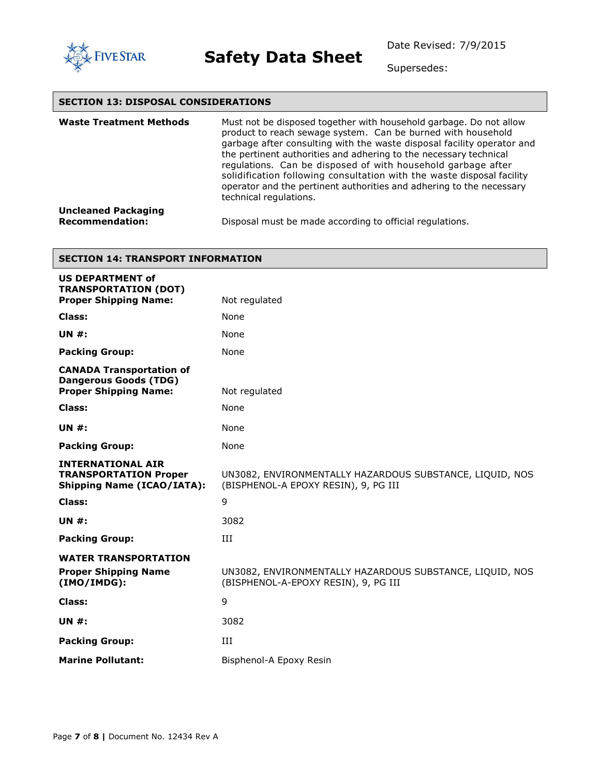

Supersedes:

#### **SECTION 13: DISPOSAL CONSIDERATIONS**

| <b>Waste Treatment Methods</b>                       | Must not be disposed together with household garbage. Do not allow<br>product to reach sewage system. Can be burned with household<br>garbage after consulting with the waste disposal facility operator and<br>the pertinent authorities and adhering to the necessary technical<br>regulations. Can be disposed of with household garbage after<br>solidification following consultation with the waste disposal facility<br>operator and the pertinent authorities and adhering to the necessary<br>technical regulations. |
|------------------------------------------------------|-------------------------------------------------------------------------------------------------------------------------------------------------------------------------------------------------------------------------------------------------------------------------------------------------------------------------------------------------------------------------------------------------------------------------------------------------------------------------------------------------------------------------------|
| <b>Uncleaned Packaging</b><br><b>Recommendation:</b> | Disposal must be made according to official regulations.                                                                                                                                                                                                                                                                                                                                                                                                                                                                      |

#### **SECTION 14: TRANSPORT INFORMATION**

| <b>US DEPARTMENT of</b><br><b>TRANSPORTATION (DOT)</b>                                          |                                                                                                  |
|-------------------------------------------------------------------------------------------------|--------------------------------------------------------------------------------------------------|
| <b>Proper Shipping Name:</b>                                                                    | Not regulated                                                                                    |
| Class:                                                                                          | <b>None</b>                                                                                      |
| <b>UN #:</b>                                                                                    | None                                                                                             |
| <b>Packing Group:</b>                                                                           | None                                                                                             |
| <b>CANADA Transportation of</b><br><b>Dangerous Goods (TDG)</b><br><b>Proper Shipping Name:</b> | Not regulated                                                                                    |
| Class:                                                                                          | <b>None</b>                                                                                      |
| <b>UN #:</b>                                                                                    | None                                                                                             |
| <b>Packing Group:</b>                                                                           | None                                                                                             |
| <b>INTERNATIONAL AIR</b><br><b>TRANSPORTATION Proper</b><br><b>Shipping Name (ICAO/IATA):</b>   | UN3082, ENVIRONMENTALLY HAZARDOUS SUBSTANCE, LIQUID, NOS<br>(BISPHENOL-A EPOXY RESIN), 9, PG III |
| Class:                                                                                          | 9                                                                                                |
| <b>UN #:</b>                                                                                    | 3082                                                                                             |
| <b>Packing Group:</b>                                                                           | Ш                                                                                                |
| <b>WATER TRANSPORTATION</b><br><b>Proper Shipping Name</b><br>(IMO/IMDG):                       | UN3082, ENVIRONMENTALLY HAZARDOUS SUBSTANCE, LIQUID, NOS<br>(BISPHENOL-A-EPOXY RESIN), 9, PG III |
| <b>Class:</b>                                                                                   | 9                                                                                                |
| <b>UN #:</b>                                                                                    | 3082                                                                                             |
| <b>Packing Group:</b>                                                                           | Ш                                                                                                |
| <b>Marine Pollutant:</b>                                                                        | Bisphenol-A Epoxy Resin                                                                          |